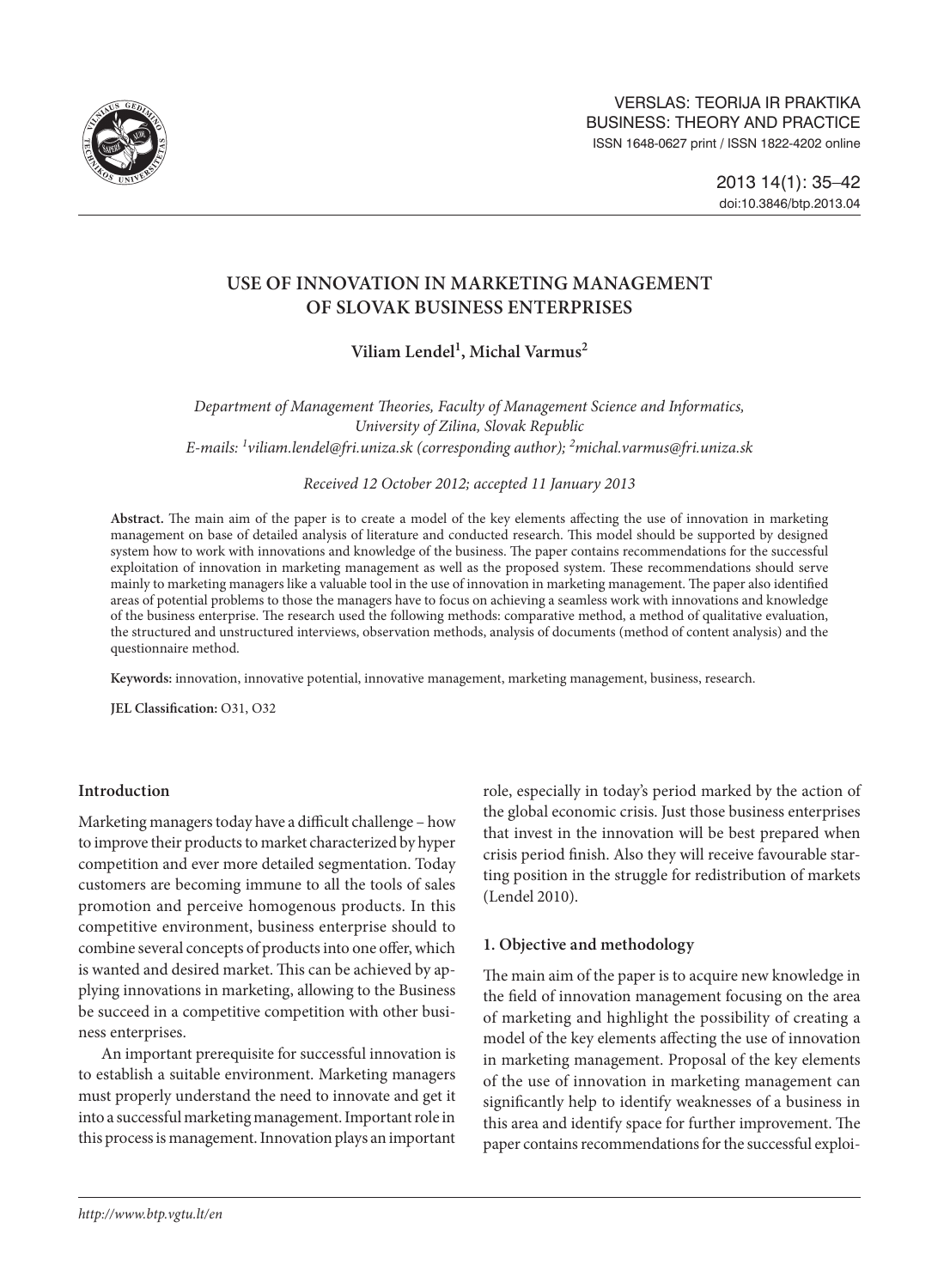

# **USE OF INNOVATION IN MARKETING MANAGEMENT OF SLOVAK BUSINESS ENTERPRISES**

Viliam Lendel<sup>1</sup>, Michal Varmus<sup>2</sup>

*Department of Management Theories, Faculty of Management Science and Informatics, University of Zilina, Slovak Republic E-mails: 1 [viliam.lendel@fri.uniza.sk](mailto:1viliam.lendel@fri.uniza.sk) (corresponding author); 2 michal.varmus@fri.uniza.sk*

*Received 12 October 2012; accepted 11 January 2013*

**Abstract.** The main aim of the paper is to create a model of the key elements affecting the use of innovation in marketing management on base of detailed analysis of literature and conducted research. This model should be supported by designed system how to work with innovations and knowledge of the business. The paper contains recommendations for the successful exploitation of innovation in marketing management as well as the proposed system. These recommendations should serve mainly to marketing managers like a valuable tool in the use of innovation in marketing management. The paper also identified areas of potential problems to those the managers have to focus on achieving a seamless work with innovations and knowledge of the business enterprise. The research used the following methods: comparative method, a method of qualitative evaluation, the structured and unstructured interviews, observation methods, analysis of documents (method of content analysis) and the questionnaire method.

**Keywords:** innovation, innovative potential, innovative management, marketing management, business, research.

**JEL Classification:** O31, O32

## **Introduction**

Marketing managers today have a difficult challenge – how to improve their products to market characterized by hyper competition and ever more detailed segmentation. Today customers are becoming immune to all the tools of sales promotion and perceive homogenous products. In this competitive environment, business enterprise should to combine several concepts of products into one offer, which is wanted and desired market. This can be achieved by applying innovations in marketing, allowing to the Business be succeed in a competitive competition with other business enterprises.

An important prerequisite for successful innovation is to establish a suitable environment. Marketing managers must properly understand the need to innovate and get it into a successful marketing management. Important role in this process is management. Innovation plays an important

role, especially in today's period marked by the action of the global economic crisis. Just those business enterprises that invest in the innovation will be best prepared when crisis period finish. Also they will receive favourable starting position in the struggle for redistribution of markets (Lendel 2010).

## **1. Objective and methodology**

The main aim of the paper is to acquire new knowledge in the field of innovation management focusing on the area of marketing and highlight the possibility of creating a model of the key elements affecting the use of innovation in marketing management. Proposal of the key elements of the use of innovation in marketing management can significantly help to identify weaknesses of a business in this area and identify space for further improvement. The paper contains recommendations for the successful exploi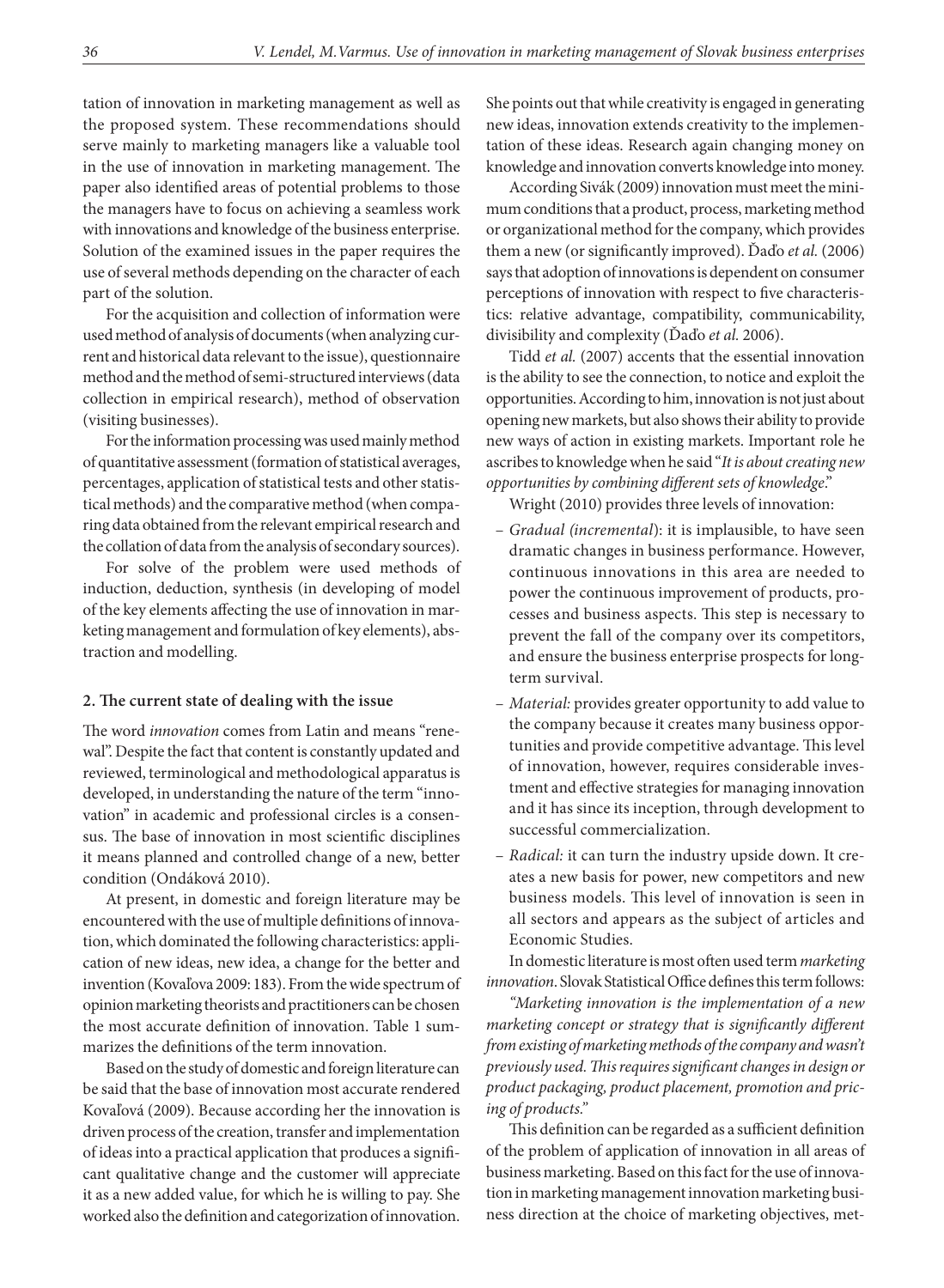tation of innovation in marketing management as well as the proposed system. These recommendations should serve mainly to marketing managers like a valuable tool in the use of innovation in marketing management. The paper also identified areas of potential problems to those the managers have to focus on achieving a seamless work with innovations and knowledge of the business enterprise. Solution of the examined issues in the paper requires the use of several methods depending on the character of each part of the solution.

For the acquisition and collection of information were used method of analysis of documents (when analyzing current and historical data relevant to the issue), questionnaire method and the method of semi-structured interviews (data collection in empirical research), method of observation (visiting businesses).

For the information processing was used mainly method of quantitative assessment (formation of statistical averages, percentages, application of statistical tests and other statistical methods) and the comparative method (when comparing data obtained from the relevant empirical research and the collation of data from the analysis of secondary sources).

For solve of the problem were used methods of induction, deduction, synthesis (in developing of model of the key elements affecting the use of innovation in marketing management and formulation of key elements), abstraction and modelling.

#### **2. The current state of dealing with the issue**

The word *innovation* comes from Latin and means "renewal". Despite the fact that content is constantly updated and reviewed, terminological and methodological apparatus is developed, in understanding the nature of the term "innovation" in academic and professional circles is a consensus. The base of innovation in most scientific disciplines it means planned and controlled change of a new, better condition (Ondáková 2010).

At present, in domestic and foreign literature may be encountered with the use of multiple definitions of innovation, which dominated the following characteristics: application of new ideas, new idea, a change for the better and invention (Kovaľova 2009: 183). From the wide spectrum of opinion marketing theorists and practitioners can be chosen the most accurate definition of innovation. Table 1 summarizes the definitions of the term innovation.

Based on the study of domestic and foreign literature can be said that the base of innovation most accurate rendered Kovaľová (2009). Because according her the innovation is driven process of the creation, transfer and implementation of ideas into a practical application that produces a significant qualitative change and the customer will appreciate it as a new added value, for which he is willing to pay. She worked also the definition and categorization of innovation.

She points out that while creativity is engaged in generating new ideas, innovation extends creativity to the implementation of these ideas. Research again changing money on knowledge and innovation converts knowledge into money.

According Sivák (2009) innovation must meet the minimum conditions that a product, process, marketing method or organizational method for the company, which provides them a new (or significantly improved). Ďaďo *et al.* (2006) says that adoption of innovations is dependent on consumer perceptions of innovation with respect to five characteristics: relative advantage, compatibility, communicability, divisibility and complexity (Ďaďo *et al.* 2006).

Tidd *et al.* (2007) accents that the essential innovation is the ability to see the connection, to notice and exploit the opportunities. According to him, innovation is not just about opening new markets, but also shows their ability to provide new ways of action in existing markets. Important role he ascribes to knowledge when he said "*It is about creating new opportunities by combining different sets of knowledge*."

Wright (2010) provides three levels of innovation:

- *Gradual (incremental*): it is implausible, to have seen dramatic changes in business performance. However, continuous innovations in this area are needed to power the continuous improvement of products, processes and business aspects. This step is necessary to prevent the fall of the company over its competitors, and ensure the business enterprise prospects for longterm survival.
- *Material:* provides greater opportunity to add value to the company because it creates many business opportunities and provide competitive advantage. This level of innovation, however, requires considerable investment and effective strategies for managing innovation and it has since its inception, through development to successful commercialization.
- *Radical:* it can turn the industry upside down. It creates a new basis for power, new competitors and new business models. This level of innovation is seen in all sectors and appears as the subject of articles and Economic Studies.

In domestic literature is most often used term *marketing innovation*. Slovak Statistical Office defines this term follows:

*"Marketing innovation is the implementation of a new marketing concept or strategy that is significantly different from existing of marketing methods of the company and wasn't previously used. This requires significant changes in design or product packaging, product placement, promotion and pricing of products."*

This definition can be regarded as a sufficient definition of the problem of application of innovation in all areas of business marketing. Based on this fact for the use of innovation in marketing management innovation marketing business direction at the choice of marketing objectives, met-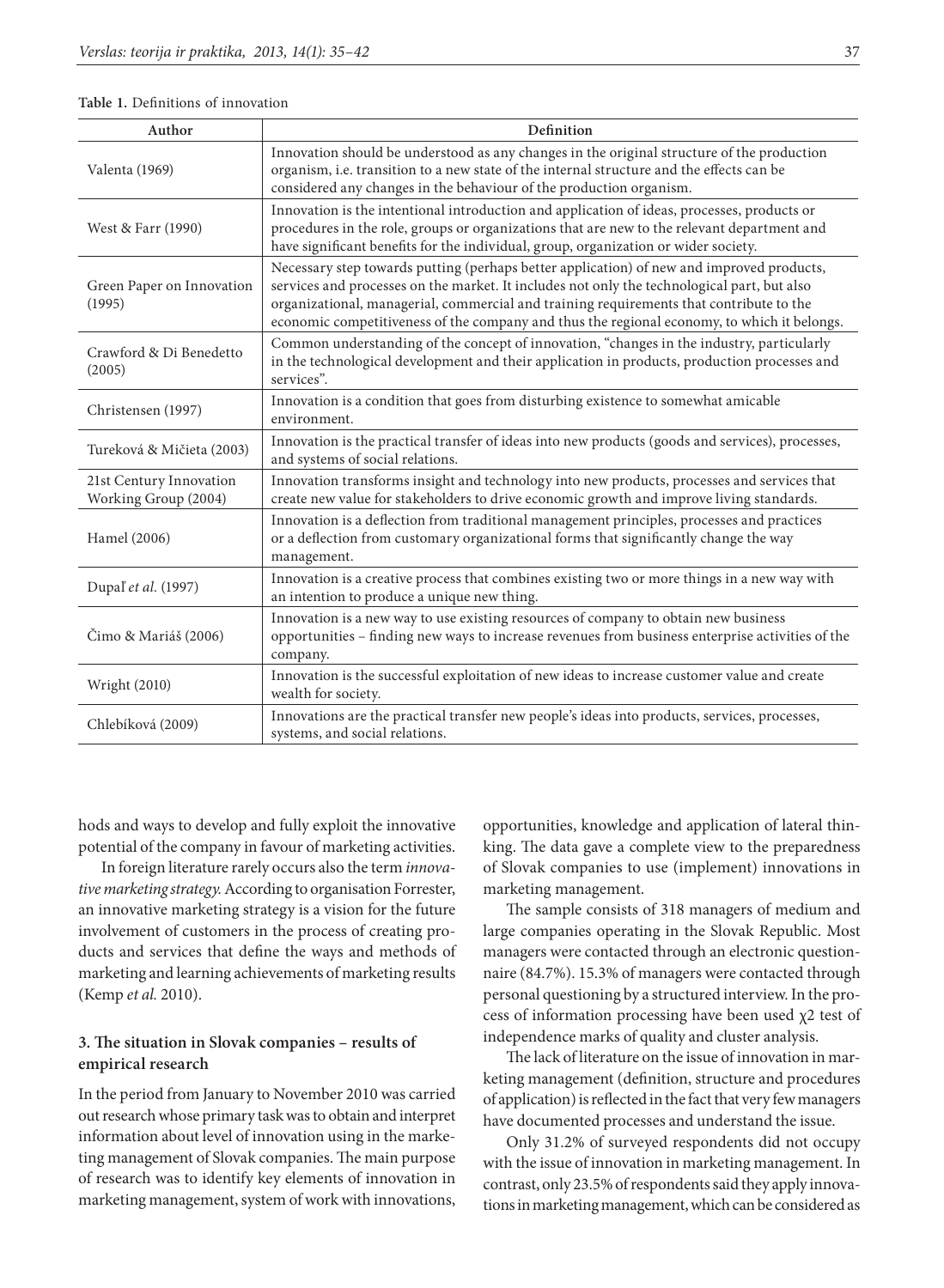#### **Table 1.** Definitions of innovation

| Author                                          | Definition                                                                                                                                                                                                                                                                                                                                                                         |
|-------------------------------------------------|------------------------------------------------------------------------------------------------------------------------------------------------------------------------------------------------------------------------------------------------------------------------------------------------------------------------------------------------------------------------------------|
| Valenta (1969)                                  | Innovation should be understood as any changes in the original structure of the production<br>organism, i.e. transition to a new state of the internal structure and the effects can be<br>considered any changes in the behaviour of the production organism.                                                                                                                     |
| West & Farr (1990)                              | Innovation is the intentional introduction and application of ideas, processes, products or<br>procedures in the role, groups or organizations that are new to the relevant department and<br>have significant benefits for the individual, group, organization or wider society.                                                                                                  |
| Green Paper on Innovation<br>(1995)             | Necessary step towards putting (perhaps better application) of new and improved products,<br>services and processes on the market. It includes not only the technological part, but also<br>organizational, managerial, commercial and training requirements that contribute to the<br>economic competitiveness of the company and thus the regional economy, to which it belongs. |
| Crawford & Di Benedetto<br>(2005)               | Common understanding of the concept of innovation, "changes in the industry, particularly<br>in the technological development and their application in products, production processes and<br>services".                                                                                                                                                                            |
| Christensen (1997)                              | Innovation is a condition that goes from disturbing existence to somewhat amicable<br>environment.                                                                                                                                                                                                                                                                                 |
| Tureková & Mičieta (2003)                       | Innovation is the practical transfer of ideas into new products (goods and services), processes,<br>and systems of social relations.                                                                                                                                                                                                                                               |
| 21st Century Innovation<br>Working Group (2004) | Innovation transforms insight and technology into new products, processes and services that<br>create new value for stakeholders to drive economic growth and improve living standards.                                                                                                                                                                                            |
| Hamel (2006)                                    | Innovation is a deflection from traditional management principles, processes and practices<br>or a deflection from customary organizational forms that significantly change the way<br>management.                                                                                                                                                                                 |
| Dupal <sup>'</sup> et al. (1997)                | Innovation is a creative process that combines existing two or more things in a new way with<br>an intention to produce a unique new thing.                                                                                                                                                                                                                                        |
| Čimo & Mariáš (2006)                            | Innovation is a new way to use existing resources of company to obtain new business<br>opportunities - finding new ways to increase revenues from business enterprise activities of the<br>company.                                                                                                                                                                                |
| <b>Wright (2010)</b>                            | Innovation is the successful exploitation of new ideas to increase customer value and create<br>wealth for society.                                                                                                                                                                                                                                                                |
| Chlebíková (2009)                               | Innovations are the practical transfer new people's ideas into products, services, processes,<br>systems, and social relations.                                                                                                                                                                                                                                                    |

hods and ways to develop and fully exploit the innovative potential of the company in favour of marketing activities.

In foreign literature rarely occurs also the term *innovative marketing strategy.* According to organisation Forrester, an innovative marketing strategy is a vision for the future involvement of customers in the process of creating products and services that define the ways and methods of marketing and learning achievements of marketing results (Kemp *et al.* 2010).

### **3. The situation in Slovak companies – results of empirical research**

In the period from January to November 2010 was carried out research whose primary task was to obtain and interpret information about level of innovation using in the marketing management of Slovak companies. The main purpose of research was to identify key elements of innovation in marketing management, system of work with innovations,

opportunities, knowledge and application of lateral thinking. The data gave a complete view to the preparedness of Slovak companies to use (implement) innovations in marketing management.

The sample consists of 318 managers of medium and large companies operating in the Slovak Republic. Most managers were contacted through an electronic questionnaire (84.7%). 15.3% of managers were contacted through personal questioning by a structured interview. In the process of information processing have been used χ2 test of independence marks of quality and cluster analysis.

The lack of literature on the issue of innovation in marketing management (definition, structure and procedures of application) is reflected in the fact that very few managers have documented processes and understand the issue.

Only 31.2% of surveyed respondents did not occupy with the issue of innovation in marketing management. In contrast, only 23.5% of respondents said they apply innovations in marketing management, which can be considered as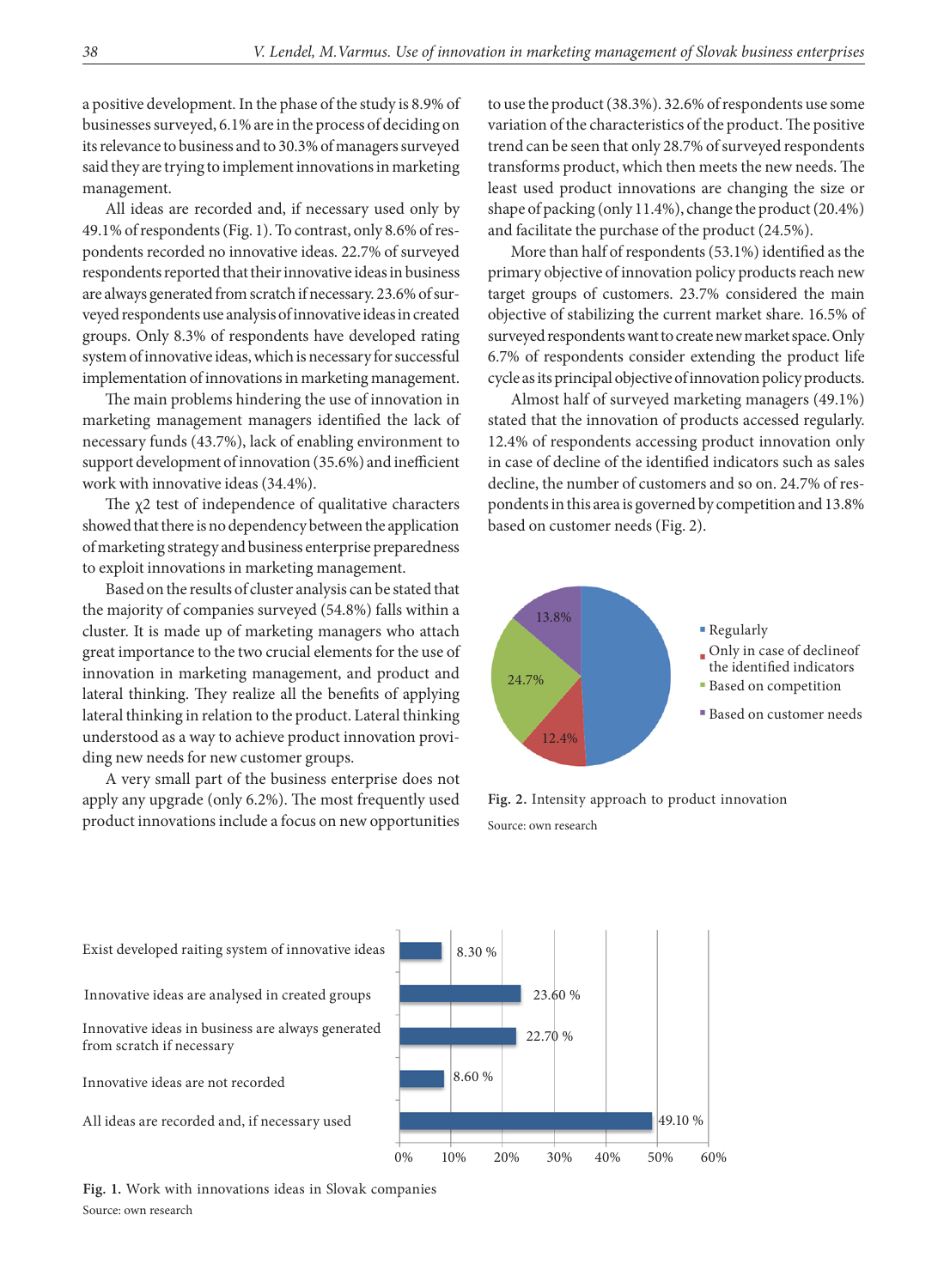a positive development. In the phase of the study is 8.9% of businesses surveyed, 6.1% are in the process of deciding on its relevance to business and to 30.3% of managers surveyed said they are trying to implement innovations in marketing management.

All ideas are recorded and, if necessary used only by 49.1% of respondents (Fig. 1). To contrast, only 8.6% of respondents recorded no innovative ideas. 22.7% of surveyed respondents reported that their innovative ideas in business are always generated from scratch if necessary. 23.6% of surveyed respondents use analysis of innovative ideas in created groups. Only 8.3% of respondents have developed rating system of innovative ideas, which is necessary for successful implementation of innovations in marketing management.

The main problems hindering the use of innovation in marketing management managers identified the lack of necessary funds (43.7%), lack of enabling environment to support development of innovation (35.6%) and inefficient work with innovative ideas (34.4%).

The χ2 test of independence of qualitative characters showed that there is no dependency between the application of marketing strategy and business enterprise preparedness to exploit innovations in marketing management.

Based on the results of cluster analysis can be stated that the majority of companies surveyed (54.8%) falls within a cluster. It is made up of marketing managers who attach great importance to the two crucial elements for the use of innovation in marketing management, and product and lateral thinking. They realize all the benefits of applying lateral thinking in relation to the product. Lateral thinking understood as a way to achieve product innovation providing new needs for new customer groups.

A very small part of the business enterprise does not apply any upgrade (only 6.2%). The most frequently used product innovations include a focus on new opportunities to use the product (38.3%). 32.6% of respondents use some variation of the characteristics of the product. The positive trend can be seen that only 28.7% of surveyed respondents transforms product, which then meets the new needs. The least used product innovations are changing the size or shape of packing (only 11.4%), change the product (20.4%) and facilitate the purchase of the product (24.5%).

More than half of respondents (53.1%) identified as the primary objective of innovation policy products reach new target groups of customers. 23.7% considered the main objective of stabilizing the current market share. 16.5% of surveyed respondents want to create new market space. Only 6.7% of respondents consider extending the product life cycle as its principal objective of innovation policy products.

Almost half of surveyed marketing managers (49.1%) stated that the innovation of products accessed regularly. 12.4% of respondents accessing product innovation only in case of decline of the identified indicators such as sales decline, the number of customers and so on. 24.7% of respondents in this area is governed by competition and 13.8% based on customer needs (Fig. 2).



**Fig. 2.** Intensity approach to product innovation Source: own research



**Fig. 1.** Work with innovations ideas in Slovak companies Source: own research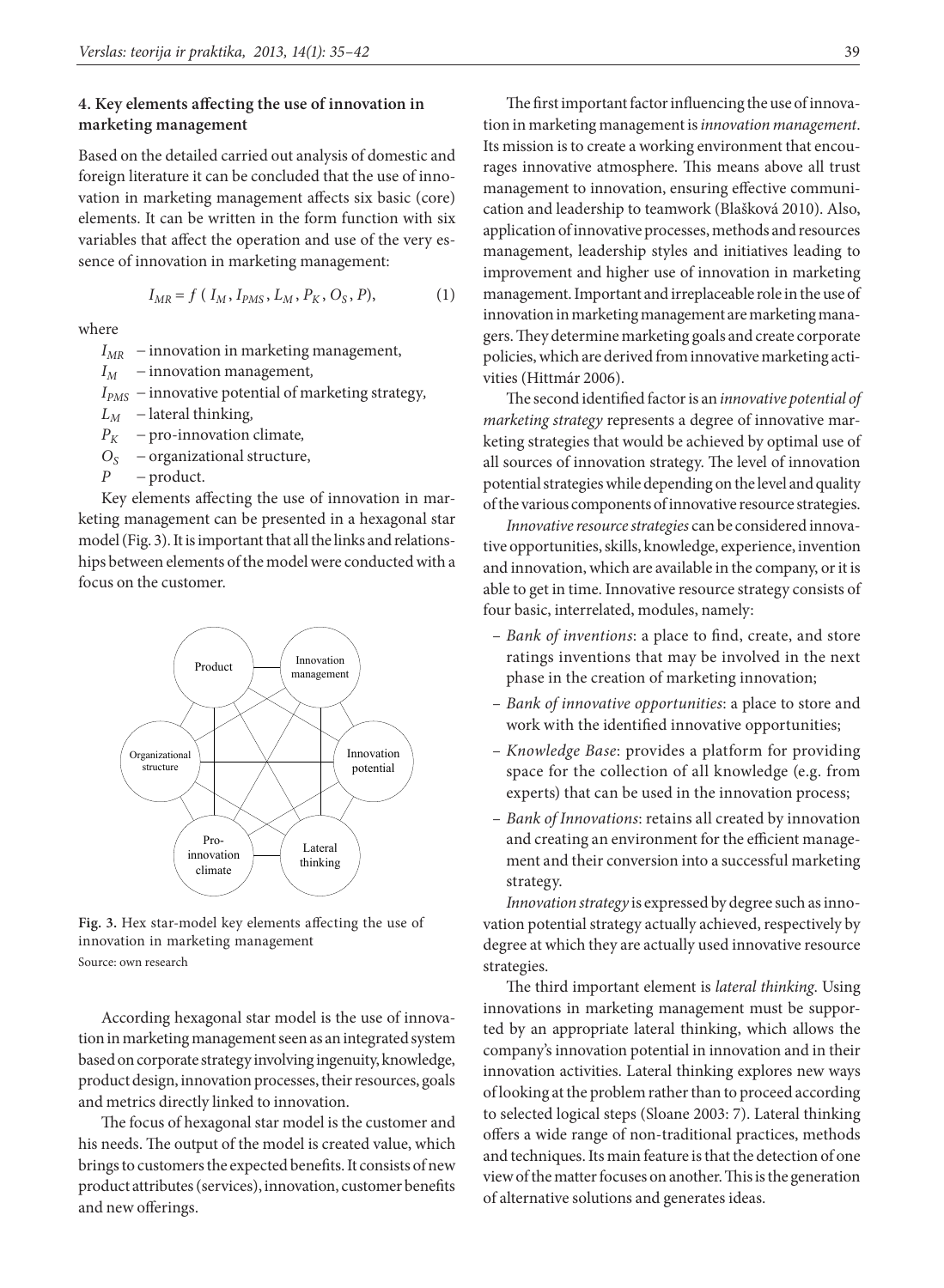## **4. Key elements affecting the use of innovation in marketing management**

Based on the detailed carried out analysis of domestic and foreign literature it can be concluded that the use of innovation in marketing management affects six basic (core) elements. It can be written in the form function with six variables that affect the operation and use of the very essence of innovation in marketing management:

$$
I_{MR} = f(I_M, I_{PMS}, L_M, P_K, O_S, P),
$$
 (1)

where

- $I_{MR}$  innovation in marketing management,
- $I_M$  innovation management,
- *IPMS* innovative potential of marketing strategy*,*
- $L_M$  lateral thinking,
- $P_K$  pro-innovation climate,
- $O<sub>S</sub>$  organizational structure,
- *P* product.

Key elements affecting the use of innovation in marketing management can be presented in a hexagonal star model (Fig. 3). It is important that all the links and relationships between elements of the model were conducted with a focus on the customer.



**Fig. 3.** Hex star-model key elements affecting the use of innovation in marketing management Source: own research

According hexagonal star model is the use of innovation in marketing management seen as an integrated system based on corporate strategy involving ingenuity, knowledge, product design, innovation processes, their resources, goals and metrics directly linked to innovation.

The focus of hexagonal star model is the customer and his needs. The output of the model is created value, which brings to customers the expected benefits. It consists of new product attributes (services), innovation, customer benefits and new offerings.

The first important factor influencing the use of innovation in marketing management is *innovation management*. Its mission is to create a working environment that encourages innovative atmosphere. This means above all trust management to innovation, ensuring effective communication and leadership to teamwork (Blašková 2010). Also, application of innovative processes, methods and resources management, leadership styles and initiatives leading to improvement and higher use of innovation in marketing management. Important and irreplaceable role in the use of innovation in marketing management are marketing managers. They determine marketing goals and create corporate policies, which are derived from innovative marketing activities (Hittmár 2006).

The second identified factor is an *innovative potential of marketing strategy* represents a degree of innovative marketing strategies that would be achieved by optimal use of all sources of innovation strategy. The level of innovation potential strategies while depending on the level and quality of the various components of innovative resource strategies.

*Innovative resource strategies* can be considered innovative opportunities, skills, knowledge, experience, invention and innovation, which are available in the company, or it is able to get in time. Innovative resource strategy consists of four basic, interrelated, modules, namely:

- *Bank of inventions*: a place to find, create, and store ratings inventions that may be involved in the next phase in the creation of marketing innovation;
- *Bank of innovative opportunities*: a place to store and work with the identified innovative opportunities;
- *Knowledge Base*: provides a platform for providing space for the collection of all knowledge (e.g. from experts) that can be used in the innovation process;
- *Bank of Innovations*: retains all created by innovation and creating an environment for the efficient management and their conversion into a successful marketing strategy.

*Innovation strategy* is expressed by degree such as innovation potential strategy actually achieved, respectively by degree at which they are actually used innovative resource strategies.

The third important element is *lateral thinking*. Using innovations in marketing management must be supported by an appropriate lateral thinking, which allows the company's innovation potential in innovation and in their innovation activities. Lateral thinking explores new ways of looking at the problem rather than to proceed according to selected logical steps (Sloane 2003: 7). Lateral thinking offers a wide range of non-traditional practices, methods and techniques. Its main feature is that the detection of one view of the matter focuses on another. This is the generation of alternative solutions and generates ideas.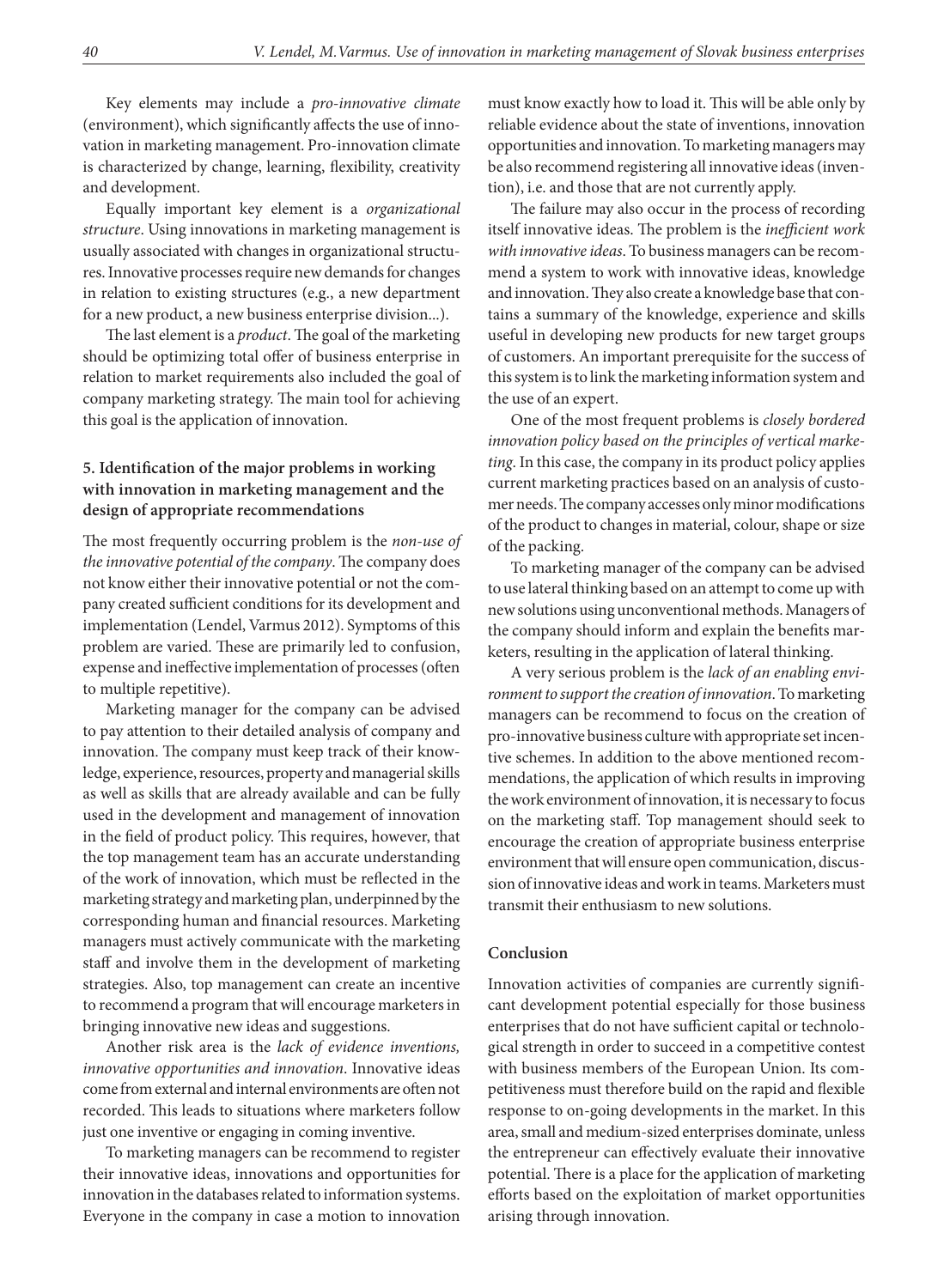Key elements may include a *pro-innovative climate* (environment), which significantly affects the use of innovation in marketing management. Pro-innovation climate is characterized by change, learning, flexibility, creativity and development.

Equally important key element is a *organizational structure*. Using innovations in marketing management is usually associated with changes in organizational structures. Innovative processes require new demands for changes in relation to existing structures (e.g., a new department for a new product, a new business enterprise division...).

The last element is a *product*. The goal of the marketing should be optimizing total offer of business enterprise in relation to market requirements also included the goal of company marketing strategy. The main tool for achieving this goal is the application of innovation.

# **5. Identification of the major problems in working with innovation in marketing management and the design of appropriate recommendations**

The most frequently occurring problem is the *non-use of the innovative potential of the company*. The company does not know either their innovative potential or not the company created sufficient conditions for its development and implementation (Lendel, Varmus 2012). Symptoms of this problem are varied. These are primarily led to confusion, expense and ineffective implementation of processes (often to multiple repetitive).

Marketing manager for the company can be advised to pay attention to their detailed analysis of company and innovation. The company must keep track of their knowledge, experience, resources, property and managerial skills as well as skills that are already available and can be fully used in the development and management of innovation in the field of product policy. This requires, however, that the top management team has an accurate understanding of the work of innovation, which must be reflected in the marketing strategy and marketing plan, underpinned by the corresponding human and financial resources. Marketing managers must actively communicate with the marketing staff and involve them in the development of marketing strategies. Also, top management can create an incentive to recommend a program that will encourage marketers in bringing innovative new ideas and suggestions.

Another risk area is the *lack of evidence inventions, innovative opportunities and innovation*. Innovative ideas come from external and internal environments are often not recorded. This leads to situations where marketers follow just one inventive or engaging in coming inventive.

To marketing managers can be recommend to register their innovative ideas, innovations and opportunities for innovation in the databases related to information systems. Everyone in the company in case a motion to innovation

must know exactly how to load it. This will be able only by reliable evidence about the state of inventions, innovation opportunities and innovation. To marketing managers may be also recommend registering all innovative ideas (invention), i.e. and those that are not currently apply.

The failure may also occur in the process of recording itself innovative ideas. The problem is the *inefficient work with innovative ideas*. To business managers can be recommend a system to work with innovative ideas, knowledge and innovation. They also create a knowledge base that contains a summary of the knowledge, experience and skills useful in developing new products for new target groups of customers. An important prerequisite for the success of this system is to link the marketing information system and the use of an expert.

One of the most frequent problems is *closely bordered innovation policy based on the principles of vertical marketing*. In this case, the company in its product policy applies current marketing practices based on an analysis of customer needs. The company accesses only minor modifications of the product to changes in material, colour, shape or size of the packing.

To marketing manager of the company can be advised to use lateral thinking based on an attempt to come up with new solutions using unconventional methods. Managers of the company should inform and explain the benefits marketers, resulting in the application of lateral thinking.

A very serious problem is the *lack of an enabling environment to support the creation of innovation*. To marketing managers can be recommend to focus on the creation of pro-innovative business culture with appropriate set incentive schemes. In addition to the above mentioned recommendations, the application of which results in improving the work environment of innovation, it is necessary to focus on the marketing staff. Top management should seek to encourage the creation of appropriate business enterprise environment that will ensure open communication, discussion of innovative ideas and work in teams. Marketers must transmit their enthusiasm to new solutions.

#### **Conclusion**

Innovation activities of companies are currently significant development potential especially for those business enterprises that do not have sufficient capital or technological strength in order to succeed in a competitive contest with business members of the European Union. Its competitiveness must therefore build on the rapid and flexible response to on-going developments in the market. In this area, small and medium-sized enterprises dominate, unless the entrepreneur can effectively evaluate their innovative potential. There is a place for the application of marketing efforts based on the exploitation of market opportunities arising through innovation.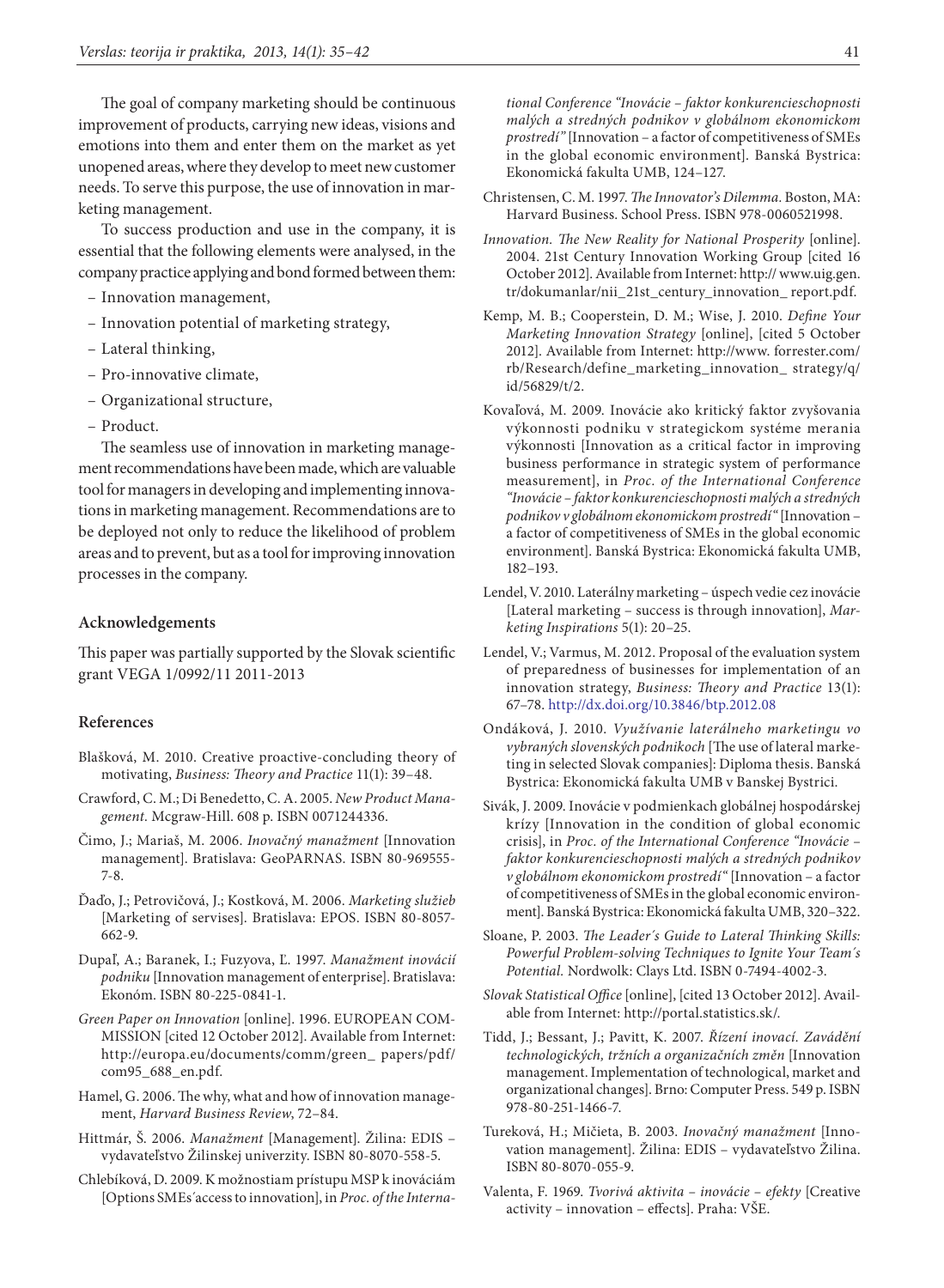The goal of company marketing should be continuous improvement of products, carrying new ideas, visions and emotions into them and enter them on the market as yet unopened areas, where they develop to meet new customer needs. To serve this purpose, the use of innovation in marketing management.

To success production and use in the company, it is essential that the following elements were analysed, in the company practice applying and bond formed between them:

- Innovation management,
- Innovation potential of marketing strategy,
- Lateral thinking,
- Pro-innovative climate,
- Organizational structure,
- Product.

The seamless use of innovation in marketing management recommendations have been made, which are valuable tool for managers in developing and implementing innovations in marketing management. Recommendations are to be deployed not only to reduce the likelihood of problem areas and to prevent, but as a tool for improving innovation processes in the company.

#### **Acknowledgements**

This paper was partially supported by the Slovak scientific grant VEGA 1/0992/11 2011-2013

#### **References**

- Blašková, M. 2010. Creative proactive-concluding theory of motivating, *Business: Theory and Practice* 11(1): 39–48.
- Crawford, C. M.; Di Benedetto, C. A. 2005. *New Product Management.* Mcgraw-Hill. 608 p. ISBN 0071244336.
- Čimo, J.; Mariaš, M. 2006. *Inovačný manažment* [Innovation management]. Bratislava: GeoPARNAS. ISBN 80-969555- 7-8.
- Ďaďo, J.; Petrovičová, J.; Kostková, M. 2006. *Marketing služieb*  [Marketing of servises]. Bratislava: EPOS. ISBN 80-8057- 662-9.
- Dupaľ, A.; Baranek, I.; Fuzyova, Ľ. 1997. *Manažment inovácií podniku* [Innovation management of enterprise]. Bratislava: Ekonóm. ISBN 80-225-0841-1.
- *Green Paper on Innovation* [online]. 1996. EUROPEAN COM-MISSION [cited 12 October 2012]. Available from Internet: http://europa.eu/documents/comm/green\_ papers/pdf/ com95\_688\_en.pdf.
- Hamel, G. 2006. The why, what and how of innovation management, *Harvard Business Review*, 72–84.
- Hittmár, Š. 2006. *Manažment* [Management]. Žilina: EDIS vydavateľstvo Žilinskej univerzity. ISBN 80-8070-558-5.
- Chlebíková, D. 2009. K možnostiam prístupu MSP k inováciám [Options SMEs´access to innovation], in *Proc. of the Interna-*

*tional Conference "Inovácie – faktor konkurencieschopnosti malých a stredných podnikov v globálnom ekonomickom prostredí"* [Innovation – a factor of competitiveness of SMEs in the global economic environment]. Banská Bystrica: Ekonomická fakulta UMB, 124–127.

- Christensen, C. M. 1997. *The Innovator's Dilemma.* Boston, MA: Harvard Business. School Press. ISBN 978-0060521998.
- *Innovation. The New Reality for National Prosperity* [online]. 2004. 21st Century Innovation Working Group [cited 16 October 2012]. Available from Internet: http:// www.uig.gen. tr/dokumanlar/nii\_21st\_century\_innovation\_ report.pdf.
- Kemp, M. B.; Cooperstein, D. M.; Wise, J. 2010. *Define Your Marketing Innovation Strategy* [online], [cited 5 October 2012]. Available from Internet: http://www. forrester.com/ rb/Research/define\_marketing\_innovation\_ strategy/q/ id/56829/t/2.
- Kovaľová, M. 2009. Inovácie ako kritický faktor zvyšovania výkonnosti podniku v strategickom systéme merania výkonnosti [Innovation as a critical factor in improving business performance in strategic system of performance measurement], in *Proc. of the International Conference "Inovácie – faktor konkurencieschopnosti malých a stredných podnikov v globálnom ekonomickom prostredí"* [Innovation – a factor of competitiveness of SMEs in the global economic environment]. Banská Bystrica: Ekonomická fakulta UMB, 182–193.
- Lendel, V. 2010. Laterálny marketing úspech vedie cez inovácie [Lateral marketing – success is through innovation], *Marketing Inspirations* 5(1): 20–25.
- Lendel, V.; Varmus, M. 2012. Proposal of the evaluation system of preparedness of businesses for implementation of an innovation strategy, *Business: Theory and Practice* 13(1): 67–78. <http://dx.doi.org/10.3846/btp.2012.08>
- Ondáková, J. 2010. *Využívanie laterálneho marketingu vo vybraných slovenských podnikoch* [The use of lateral marketing in selected Slovak companies]: Diploma thesis. Banská Bystrica: Ekonomická fakulta UMB v Banskej Bystrici.
- Sivák, J. 2009. Inovácie v podmienkach globálnej hospodárskej krízy [Innovation in the condition of global economic crisis], in *Proc. of the International Conference "Inovácie – faktor konkurencieschopnosti malých a stredných podnikov v globálnom ekonomickom prostredí"* [Innovation – a factor of competitiveness of SMEs in the global economic environment]. Banská Bystrica: Ekonomická fakulta UMB, 320–322.
- Sloane, P. 2003. *The Leader´s Guide to Lateral Thinking Skills: Powerful Problem-solving Techniques to Ignite Your Team´s Potential.* Nordwolk: Clays Ltd. ISBN 0-7494-4002-3.
- *Slovak Statistical Office* [online], [cited 13 October 2012]. Available from Internet: http://portal.statistics.sk/.
- Tidd, J.; Bessant, J.; Pavitt, K. 2007. *Řízení inovací. Zavádění technologických, tržních a organizačních změn* [Innovation management. Implementation of technological, market and organizational changes]. Brno: Computer Press. 549 p. ISBN 978-80-251-1466-7.
- Tureková, H.; Mičieta, B. 2003. *Inovačný manažment* [Innovation management]. Žilina: EDIS – vydavateľstvo Žilina. ISBN 80-8070-055-9.
- Valenta, F. 1969. *Tvorivá aktivita inovácie efekty* [Creative activity – innovation – effects]. Praha: VŠE.